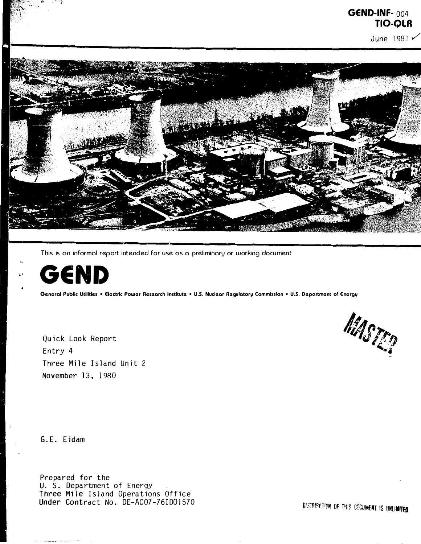

This is an informal report intended for use as a preliminary or working document



General Public Utilities • Electric Power Research Institute • U.S. Nuclear Regulatory Commission • U.S. Department of Energy

Quick Look Report Entry 4 Three Mile Island Unit 2 November 13, 1980



G. E. Eidam

Prepared for the U. S. Department of Energy Three Mile Island Operations Office<br>Under Contract No. DE-AC07-76ID01570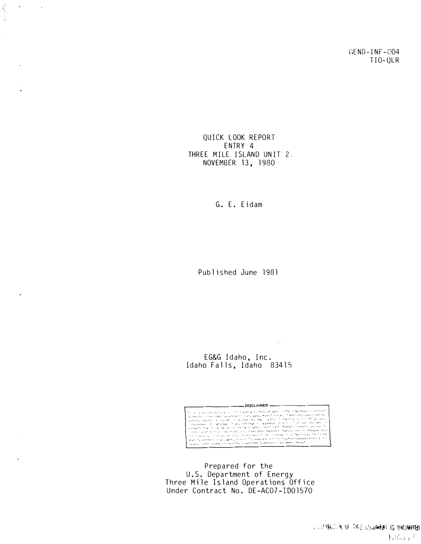GEND-INF-004  $TIO-QLR$ 

QUICK LOOK REPORT ENTRY 4 THREE MILE ISLAND UNIT 2. NOVEMBER 13, 1980

 $\label{eq:2.1} \delta_{\mu}^{(1)}\propto \frac{1}{\sqrt{2}}\sum_{i=1}^{N-1} \delta_{i}^{(1)}$ 

 $\sim 10^{11}$  km s  $^{-1}$  km s  $^{-1}$ 

 $\mathbf{r}$ 

 $\ddot{\phantom{a}}$ 

 $\bullet$ 

G. E. Eidam

Published June 1981

EG&G Idaho, Inc.<br>Idaho Falls, Idaho 83415



 $\sim 14$ 

Prepared for the U.S. Department of Energy<br>Three Mile Island Operations Office<br>Under Contract No. DE-ACO7-ID01570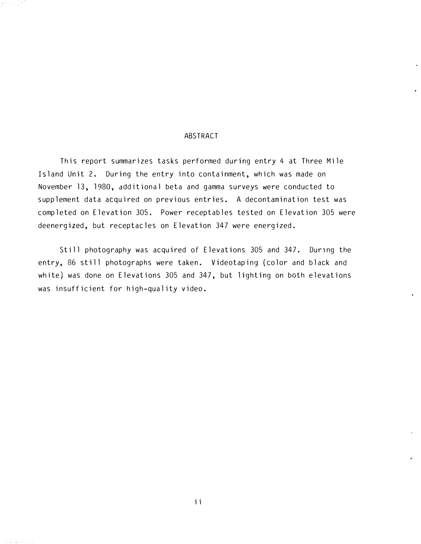### ABSTRACT

 $\langle\sigma_{\rm s}\rangle\ll\rho$ 

This report summarizes tasks performed during entry 4 at Three Mile Island Unit 2. During the entry into containment, which was made on November 13, 1980, additional beta and gamma surveys were conducted to supplement data acquired on previous entries. A decontamination test was completed on Elevation 305. Power receptables tested on Elevation 305 were deenergized, but receptacles on Elevation 347 were energized.

Still photography was acquired of Elevations 305 and 347. During the entry, 86 still photographs were taken. Videotaping (color and black and white) was done on Elevations 305 and 347, but lighting on both elevations was insufficient for high-quality video.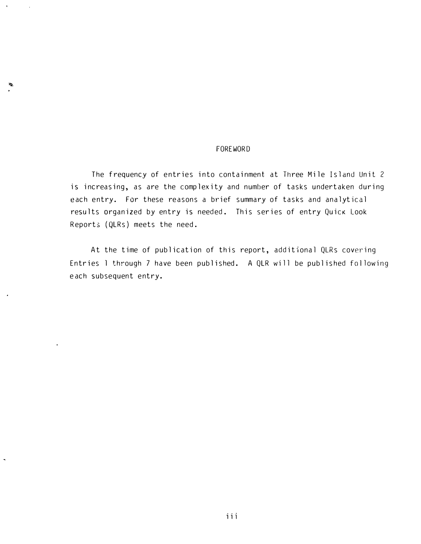#### FOREWORD

The frequency of entries into containment at Three Mile Island Unit 2 is increasing, as are the complexity and number of tasks undertaken during each entry. For these reasons a brief summary of tasks and analytical results organized by entry is needed. This series of entry Quick Look Reports (QLRs) meets the need.

At the time of publication of this report, additional QLRs covering Entries 1 through 7 have been published. A QLR will be published following e ach subsequent entry.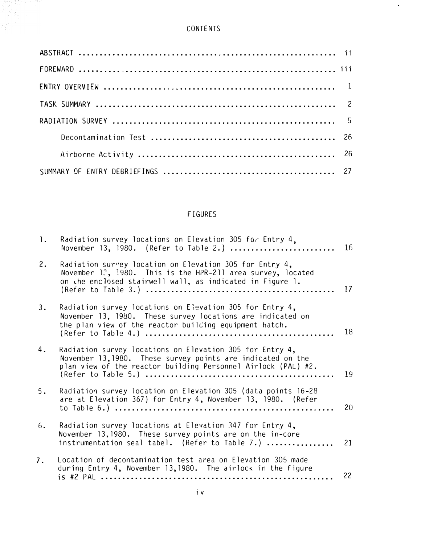# CONTENTS

 $\mathcal{A}^{\pm}$ 

# FIGURES

| $\cdot$ | Radiation survey locations on Elevation 305 for Entry 4,<br>November 13, 1980. (Refer to Table 2.)                                                                                       | 16 |
|---------|------------------------------------------------------------------------------------------------------------------------------------------------------------------------------------------|----|
| 2.      | Radiation survey location on Elevation 305 for Entry 4,<br>November 1?, 1980. This is the HPR-211 area survey, located<br>on the enclosed stairwell wall, as indicated in Figure 1.      | 17 |
| 3.      | Radiation survey locations on Elevation 305 for Entry 4,<br>November 13, 1980. These survey locations are indicated on<br>the plan view of the reactor building equipment hatch.         | 18 |
| 4.      | Radiation survey locations on Elevation 305 for Entry 4,<br>November 13, 1980. These survey points are indicated on the<br>plan view of the reactor building Personnel Airlock (PAL) #2. | 19 |
| 5.      | Radiation survey location on Elevation 305 (data points 16-28<br>are at Elevation 367) for Entry 4, November 13, 1980. (Refer                                                            | 20 |
| 6.      | Radiation survey locations at Elevation 347 for Entry 4,<br>November 13,1980. These survey points are on the in-core<br>instrumentation seal tabel. (Refer to Table 7.)                  | 21 |
| 7.      | Location of decontamination test area on Elevation 305 made<br>during Entry 4, November 13, 1980. The airlock in the figure                                                              | 22 |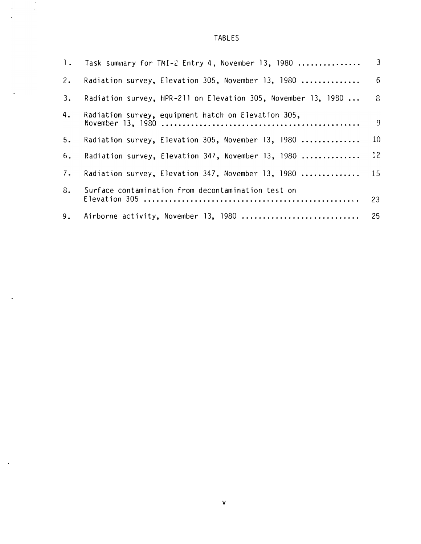TABLES

 $\ddot{\phantom{0}}$ 

 $\ddot{\phantom{a}}$ 

|    | 1. Task summary for TMI-2 Entry 4, November 13, 1980             | $\mathbf{3}$    |
|----|------------------------------------------------------------------|-----------------|
| 2. | Radiation survey, Elevation 305, November 13, 1980               | $6\overline{6}$ |
| 3. | Radiation survey, HPR-211 on Elevation 305, November 13, 1980  8 |                 |
| 4. | Radiation survey, equipment hatch on Elevation 305,              | $\overline{9}$  |
| 5. | Radiation survey, Elevation 305, November 13, 1980               | 10              |
| 6. | Radiation survey, Elevation 347, November 13, 1980               | 12              |
| 7. | Radiation survey, Elevation 347, November 13, 1980  15           |                 |
| 8. | Surface contamination from decontamination test on               | 23              |
| 9. | Airborne activity, November 13, 1980  25                         |                 |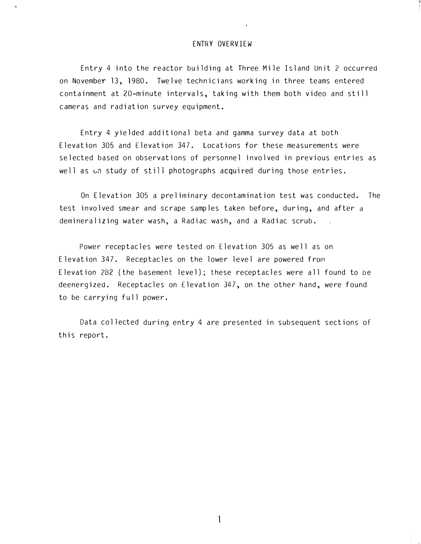#### ENTRY OVERVIEW

Entry 4 into the reactor building at Three Mile Island Unit 2 occurred on November 13, 1980. Twelve technicians working in three teams entered containment at 20-minute intervals, taking with them both video and still cameras and radiation survey equipment.

Entry 4 yielded additional beta and gamma survey data at both Elevation 305 and Elevation 347. Locations for these measurements were selected based on observations of personnel involved in previous entries as well as  $\omega$ n study of still photographs acquired during those entries.

On Elevation 305 a preliminary decontamination test was conducted. The test involved smear and scrape samples taken before, during, and after a demineralizing water wash, a Radiac wash, and a Radiac scrub.

Power receptacles were tested on Elevation 305 as well as on Elevation 347. Receptacles on the lower level are powered from Elevation 282 (the basement level); these receptacles were all found to be deenergized. Receptacles on Elevation 347, on the other hand, were found to be carrying full power.

Data collected during entry 4 are presented in subsequent sections of this report.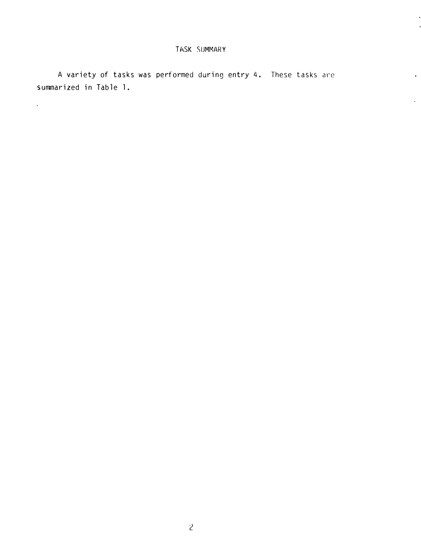L.

A variety of tasks was performed during entry 4. These tasks are summarized in Table l.

 $\mathcal{L}^{\text{max}}$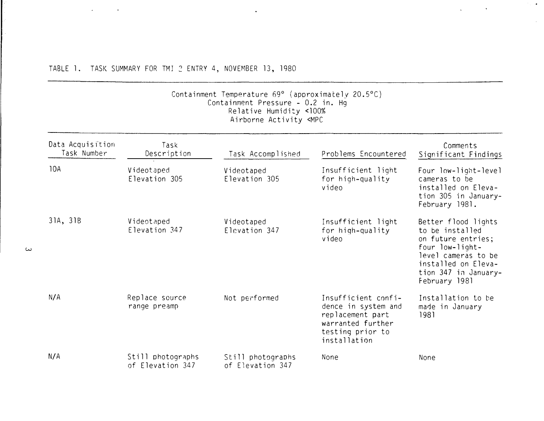### TABLE 1. TASK SUMMARY FOR TMI 2 ENTRY 4, NOVEMBER 13, 1980

 $\Delta \sim 10^{11}$  and  $\Delta \sim 10^{11}$ 

w

#### Containment Temperature 69° (aporoximately 20.5°C) Containment Pressure - 0.2 in. Hg Relative Humidi�y <100% Airborne Activity <MPC

 $\sim$ 

 $\mathcal{F}_\text{in}(\mathcal{A})$ 

 $\sim$ 

 $\Delta \phi$  and  $\Delta \phi$  and  $\Delta \phi$ 

| Data Acquisition<br>Task Number | Task<br>Description                   | Task Accomplished                     | Problems Encountered                                                                                                    | Comments<br>Significant Findings                                                                                                                                       |
|---------------------------------|---------------------------------------|---------------------------------------|-------------------------------------------------------------------------------------------------------------------------|------------------------------------------------------------------------------------------------------------------------------------------------------------------------|
| 10A                             | Videotaped<br>Elevation 305           | Videotaped<br>Elevation 305           | Insufficient light<br>for high-quality<br>video                                                                         | Four low-light-level<br>cameras to be<br>installed on Eleva-<br>tion 305 in January-<br>February 1981.                                                                 |
| 31A, 31B                        | Videotaped<br>Elevation 347           | Videotaped<br>Elevation 347           | Insufficient light<br>for high-quality<br>video                                                                         | Better flood lights<br>to be installed<br>on future entries;<br>four low-light-<br>level cameras to be<br>installed on Eleva-<br>tion 347 in January-<br>February 1981 |
| N/A                             | Replace source<br>range preamp        | Not performed                         | Insufficient confi-<br>dence in system and<br>replacement part<br>warranted further<br>testing prior to<br>installation | Installation to be<br>made in January<br>1981                                                                                                                          |
| N/A                             | Still photographs<br>of Elevation 347 | Still photographs<br>of Elevation 347 | None                                                                                                                    | None                                                                                                                                                                   |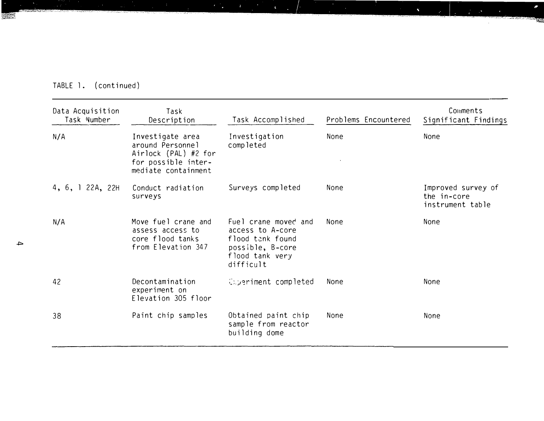| TABLE 1. | (continued) |  |
|----------|-------------|--|

**THE RACE OF THE LEAST CLUB** 

**SAME** 

| Data Acquisition<br>Task Number | Task<br>Description                                                                                        | Task Accomplished                                                                                                | Problems Encountered | Comments<br>Significant Findings                      |
|---------------------------------|------------------------------------------------------------------------------------------------------------|------------------------------------------------------------------------------------------------------------------|----------------------|-------------------------------------------------------|
| N/A                             | Investigate area<br>around Personnel<br>Airlock (PAL) #2 for<br>for possible inter-<br>mediate containment | Investigation<br>completed                                                                                       | None                 | None                                                  |
| 4, 6, 1 22A, 22H                | Conduct radiation<br>surveys                                                                               | Surveys completed                                                                                                | None                 | Improved survey of<br>the in-core<br>instrument table |
| N/A                             | Move fuel crane and<br>assess access to<br>core flood tanks<br>from Elevation 347                          | Fuel crane moved and<br>access to A-core<br>flood tank found<br>possible, B-core<br>flood tank very<br>difficult | None                 | None                                                  |
| 42                              | Decontamination<br>experiment on<br>Elevation 305 floor                                                    | <b>Coperiment completed</b>                                                                                      | None                 | None                                                  |
| 38                              | Paint chip samples                                                                                         | Obtained paint chip<br>sample from reactor<br>building dome                                                      | None                 | None                                                  |

 $\blacklozenge$ 

**CONTRACTOR** 

 $\bullet$ 

 $\sim 100$  km s  $^{-1}$ 

 $\mathcal{L}_{\text{max}}$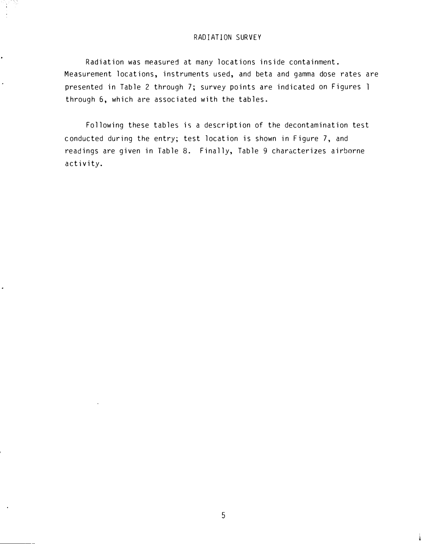#### RADIATION SURVEY

Radiation was measured at many locations inside containment. Measurement locations, instruments used, and beta and gamma dose rates are presented in Table 2 through 7; survey points are indicated on Figures 1 through 6, which are associated with the tables.

Following these tables is a description of the decontamination test conducted during the entry; test location is shown in Figure 7, and readings are given in Table 8. Finally, Table 9 characterizes airborne activity.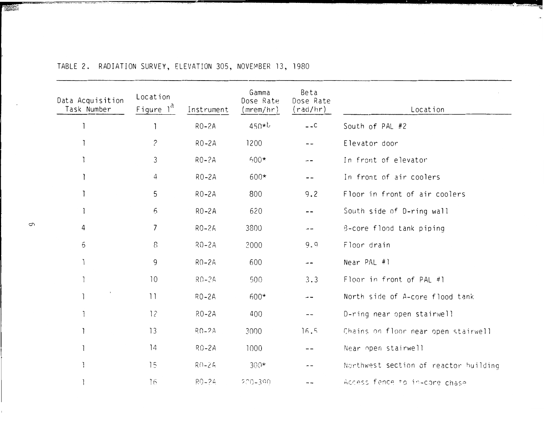| Data Acquisition<br>Task Number | Location<br>Figure $l^d$ | Instrument | Gamma<br>Dose Rate<br>(mrem/hr) | Beta<br>Dose Rate<br>(rad/hr) | Location                              |
|---------------------------------|--------------------------|------------|---------------------------------|-------------------------------|---------------------------------------|
|                                 |                          | $RO-2A$    | $450*b$                         | $-.C$                         | South of PAL #2                       |
|                                 | $\tilde{c}$              | $RO-2A$    | 1200                            |                               | Elevator door                         |
|                                 | $\mathfrak{Z}$           | $RO-2A$    | $500*$                          | $- -$                         | In front of elevator                  |
|                                 | 4                        | $RO-2A$    | $600*$                          | $ -$                          | In front of air coolers               |
|                                 | 5                        | $RO-2A$    | 800                             | 9.2                           | Floor in front of air coolers         |
|                                 | $\mathfrak{S}$           | $RO-2A$    | 620                             | --                            | South side of D-ring wall             |
| 4                               | $\overline{7}$           | $RO-2A$    | 3800                            |                               | B-core flood tank piping              |
| $\mathfrak S$                   | 8                        | $RO-2A$    | 2000                            | 9.9                           | Floor drain                           |
|                                 | 9                        | $RO-2A$    | 600                             | $\frac{1}{2}$                 | Near PAL #1                           |
|                                 | 10                       | $RO-2A$    | 500                             | 3.3                           | Floor in front of PAL #1              |
|                                 | 11                       | $RO-2A$    | $600*$                          | --                            | North side of A-core flood tank       |
|                                 | 12                       | $RO-2A$    | 400                             | $- -$                         | D-ring near open stairwel!            |
|                                 | 13                       | $RO-2A$    | 3000                            | 16.5                          | Chains on floor near open stairwell   |
|                                 | 14                       | $RO-2A$    | 1000                            |                               | Near open stairwell                   |
|                                 | 15                       | $R() - 2A$ | $300*$                          |                               | Northwest section of reactor building |
|                                 | 16                       | $RO-2A$    | $200 - 390$                     |                               | Access fence to in-core chase         |

# TABLE 2. RADIATION SURVEY, ELEVATION 305, NOVEMBER 13, 1980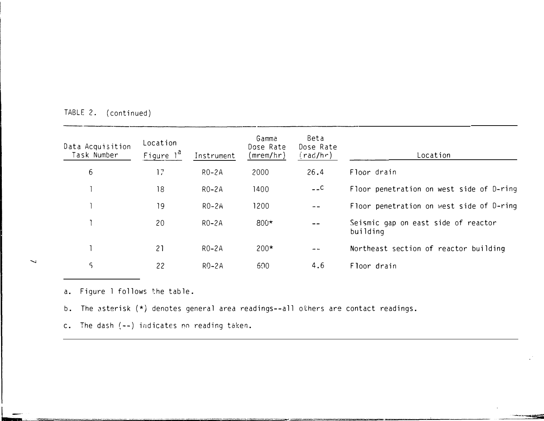| Data Acquisition<br>Task Number | Location<br>Figure 1 <sup>d</sup> | Instrument         | Gamma<br>Dose Rate<br>(mrem/hr) | Beta<br>Dose Rate<br>(rad/hr) | Location                                        |
|---------------------------------|-----------------------------------|--------------------|---------------------------------|-------------------------------|-------------------------------------------------|
| 6                               | 17                                | $RO-2A$            | 2000                            | 26.4                          | Floor drain                                     |
|                                 | 18                                | $RO-2A$            | 1400                            | $  C$                         | Floor penetration on west side of D-ring        |
|                                 | 19                                | R <sub>0</sub> -2A | 1200                            |                               | Floor penetration on west side of D-ring        |
|                                 | 20                                | $RO-2A$            | $800*$                          |                               | Seismic gap on east side of reactor<br>building |
|                                 | 21                                | $RO-2A$            | $200*$                          | $- -$                         | Northeast section of reactor building           |
| $\varsigma$                     | 22                                | $R$ 0-2A           | 600                             | 4.6                           | Floor drain                                     |

TABLE 2. (continued)

a. Figure 1 follows the table.

b. The asterisk (\*) denotes general area readings--all others are contact readings.

c. The dash ( -- ) indicates no reading taken.

↘

L--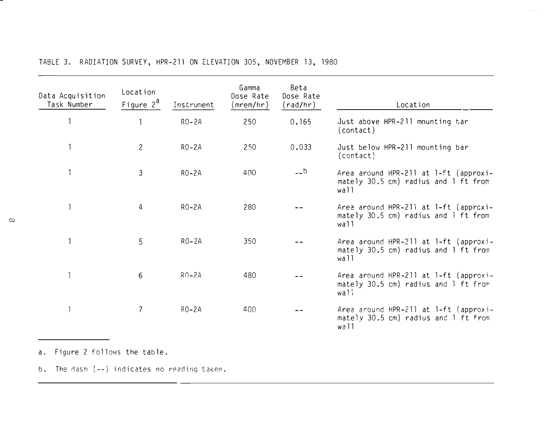| Data Acquisition<br>Task Number | Location<br>Figure $2^d$ | Instrument | Gamma<br>Dose Rate<br>(mrem/hr) | Beta<br>Dose Rate<br>(rad/hr) | Location                                                                                             |
|---------------------------------|--------------------------|------------|---------------------------------|-------------------------------|------------------------------------------------------------------------------------------------------|
|                                 |                          | $RO-2A$    | 250                             | 0.165                         | Just above HPR-211 mounting bar<br>(contact)                                                         |
|                                 | $\overline{c}$           | $RO-2A$    | 250                             | 0.033                         | Just below HPR-211 mounting bar<br>(contact)                                                         |
|                                 | 3                        | $RO-2A$    | 400                             | $-$ b                         | Area around HPR-211 at 1-ft (approxi-<br>mately 30.5 cm) radius and 1 ft from<br>wall                |
|                                 | 4                        | $RO-2A$    | 280                             |                               | Area around HPR-211 at 1-ft (approxi-<br>mately $30.5$ cm) radius and $\overline{1}$ ft from<br>wall |
|                                 | 5                        | $RO-2A$    | 350                             |                               | Area around HPR-211 at 1-ft (approxi-<br>mately 30.5 cm) radius and 1 ft from<br>wall                |
|                                 | 6                        | $RO-2A$    | 480                             |                               | Area around HPR-211 at 1-ft (approxi-<br>mately $30.5$ cm) radius and I ft from<br>wali              |
|                                 | $\overline{\phantom{a}}$ | $RO-2A$    | 400                             |                               | Area around HPR-211 at 1-ft (approxi-<br>mately 30.5 cm) radius and 1 ft from<br>wall                |

 $\sigma$  ,  $\sigma$  (  $\tau$  ).

TABLE 3. RADIATION SURVEY, HPR-211 ON ELEVATlON 305, NOVEMBER 13, 1980

a. Figure 2 follows the table.

b. The dash ( -- ) indicates no reading taken.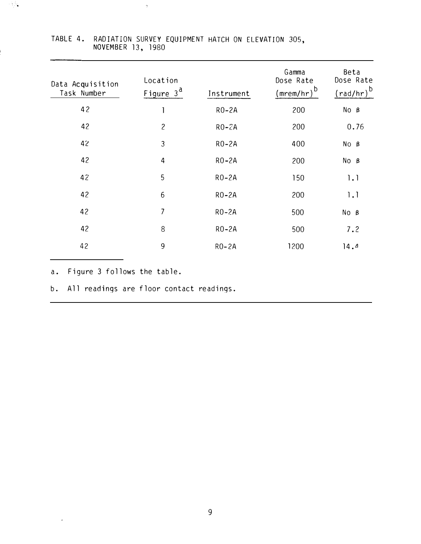| Data Acquisition<br>Task Number | Location<br>Figure $3^d$ | Instrument | Gamma<br>Dose Rate<br>b<br>(mrem/hr) | Beta<br>Dose Rate<br>$\left(\frac{\text{rad}}{\text{hr}}\right)^b$ |
|---------------------------------|--------------------------|------------|--------------------------------------|--------------------------------------------------------------------|
| 42                              |                          | $RO-2A$    | 200                                  | $No$ $B$                                                           |
| 42                              | $\mathbf{2}$             | $RO-2A$    | 200                                  | 0.76                                                               |
| 42                              | 3                        | $RO-2A$    | 400                                  | $No$ $B$                                                           |
| 42                              | 4                        | $RO-2A$    | 200                                  | $No$ $B$                                                           |
| 42                              | 5                        | $RO-2A$    | 150                                  | 1.1                                                                |
| 42                              | 6                        | $RO-2A$    | 200                                  | 1.1                                                                |
| 42                              | 7                        | $RO-2A$    | 500                                  | $No$ $B$                                                           |
| 42                              | 8                        | $RO-2A$    | 500                                  | 7.2                                                                |
| 42                              | 9                        | $RO-2A$    | 1200                                 | 14.4                                                               |

### TABLE 4. RADIATION SURVEY EQUIPMENT HATCH ON ELEVATION 305, NOVEMBER 13, 1980

 $\gamma$ 

a. Figure 3 follows the table.

 $\hat{\boldsymbol{\cdot} }$ 

 $\sim 5\,M_\odot$ 

b. All readings are floor contact readings.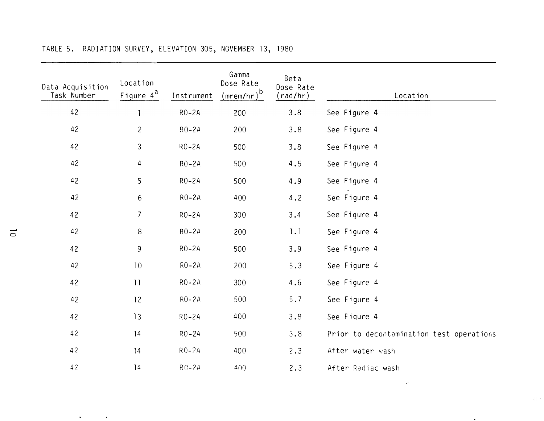| Data Acquisition<br>Task Number | Location<br>Figure $4^d$ | Instrument       | Gamma<br>Dose Rate<br>$(mrem/hr)^{b}$ | Beta<br>Dose Rate<br>(rad/hr) | Location                                 |
|---------------------------------|--------------------------|------------------|---------------------------------------|-------------------------------|------------------------------------------|
| 42                              |                          | $RO-2A$          | 200                                   | 3.8                           | See Figure 4                             |
| 42                              | $\overline{c}$           | $RO-2A$          | 200                                   | 3.8                           | See Figure 4                             |
| 42                              | $\mathfrak{Z}$           | $RO-2A$          | 500                                   | 3.8                           | See Figure 4                             |
| 42                              | 4                        | $R\ddot{O} - 2A$ | 500                                   | 4.5                           | See Figure 4                             |
| 42                              | 5                        | $RO-2A$          | 500                                   | 4.9                           | See Figure 4                             |
| 42                              | $6\phantom{.}6$          | $RO-2A$          | 400                                   | 4.2                           | See Figure 4                             |
| 42                              | $7\overline{ }$          | $RO-2A$          | 300                                   | 3.4                           | See Figure 4                             |
| 42                              | $\,8\,$                  | $RO-2A$          | 200                                   | 1.1                           | See Figure 4                             |
| 42                              | 9                        | $RO-2A$          | 500                                   | 3.9                           | See Figure 4                             |
| 42                              | 10                       | $RO-2A$          | 200                                   | 5.3                           | See Figure 4                             |
| 42                              | 11                       | $RO-2A$          | 300                                   | 4.6                           | See Figure 4                             |
| 42                              | 12                       | RO-2A            | 500                                   | $5.7$                         | See Figure 4                             |
| 42                              | 13                       | $R_0 - 2A$       | 400                                   | 3.8                           | See Figure 4                             |
| 42                              | 14                       | $RO-2A$          | 500                                   | 3.8                           | Prior to decontamination test operations |
| 42                              | 14                       | $RO-2A$          | 400                                   | 2.3                           | After water wash                         |
| 42                              | 14                       | $RO-2A$          | 4()()                                 | 2.3                           | After Radiac wash                        |
|                                 |                          |                  |                                       |                               |                                          |

 $\omega$ 

 $\mathcal{L}^{\mathcal{L}}(\mathcal{S})$ 

 $\sim$ 

 $\mathcal{A}=\{1,2,\ldots,n\}$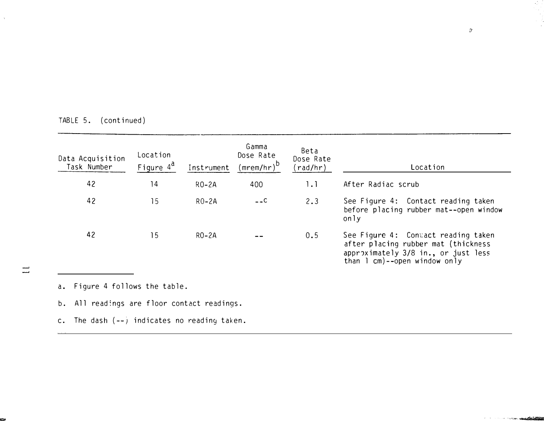| Data Acquisition<br>Task Number | Location<br>Figure 4 <sup>a</sup> | Instrument | Gamma<br>Dose Rate<br>( <u>mre</u> m/hr) <sup>b</sup> | Beta<br>Dose Rate<br>(rad/hr) | Location                                                                                                                                            |
|---------------------------------|-----------------------------------|------------|-------------------------------------------------------|-------------------------------|-----------------------------------------------------------------------------------------------------------------------------------------------------|
| 42                              | 14                                | $RO-2A$    | 400                                                   | 1.1                           | After Radiac scrub                                                                                                                                  |
| 42                              | 15                                | $RO-2A$    | $-$ -C                                                | 2.3                           | See Figure 4: Contact reading taken<br>before placing rubber mat--open window<br>only                                                               |
| 42                              | 15                                | $RO-2A$    |                                                       | 0.5                           | See Figure 4: Contact reading taken<br>after placing rubber mat (thickness<br>approximately 3/8 in., or just less<br>than $l$ cm)--open window only |

TABLE 5. (continued)

a. Figure 4 follows the table.

 $\overline{\phantom{a}}$ 

b. All readings are floor contact readings.

c. The dash  $(--)$  indicates no reading taken.

-2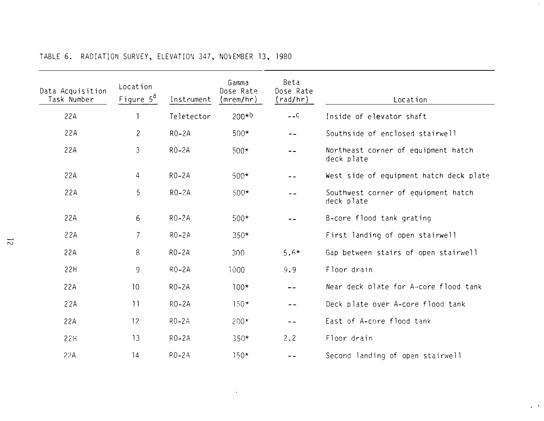| Data Acquisition<br>Task Number | Location<br>Figure $5^d$ | Instrument | Gamma<br>Dose Rate<br>(mrem/hr) | Beta<br>Dose Rate<br>(rad/hr)                           | Location                                          |  |
|---------------------------------|--------------------------|------------|---------------------------------|---------------------------------------------------------|---------------------------------------------------|--|
| 22A                             |                          | Teletector | $200 * b$                       | $---C$                                                  | Inside of elevator shaft                          |  |
| 22A                             | $\mathbf{2}$             | $RO-2A$    | $500*$                          | $- -$                                                   | Southside of enclosed stairwell                   |  |
| 22A                             | $\mathfrak{Z}$           | $RO-2A$    | $500*$                          | Northeast corner of equipment hatch<br>--<br>deck plate |                                                   |  |
| 22A                             | 4                        | $RO-2A$    | $500*$                          | $ -$                                                    | West side of equipment hatch deck plate           |  |
| 22A                             | 5                        | $RO-2A$    | $500*$                          | - -                                                     | Southwest corner of equipment hatch<br>deck plate |  |
| 22A                             | 6                        | $RO-2A$    | $500*$                          | --                                                      | B-core flood tank grating                         |  |
| 22A                             | $\overline{7}$           | $RO-2A$    | $350*$                          |                                                         | First landing of open stairwell                   |  |
| 22A                             | 8                        | $RO-2A$    | 300                             | $5.6*$                                                  | Gap between stairs of open stairwell              |  |
| 22H                             | 9                        | $RO-2A$    | 1000                            | 9.9                                                     | Floor drain                                       |  |
| 22A                             | 10                       | $RO-2A$    | $100*$                          | $- -$                                                   | Near deck plate for A-core flood tank             |  |
| 22A                             | $\overline{11}$          | $RO-2A$    | $150*$                          | $- -$                                                   | Deck plate over A-core flood tank                 |  |
| 22A                             | 12                       | $RO-2A$    | $200*$                          | $- -$                                                   | East of A-core flood tank                         |  |
| 22H                             | 13                       | $RO-2A$    | $350*$                          | 2.2                                                     | Floor drain                                       |  |
| 22A                             | 14                       | $R0-2A$    | $150*$                          | $- -$                                                   | Second landing of open stairwell                  |  |

 $\sim$ 

 $\sim$ 

# TABLE 6. RADIATION SURVEY, ELEVATION 347, NO�EMBER 13, 1980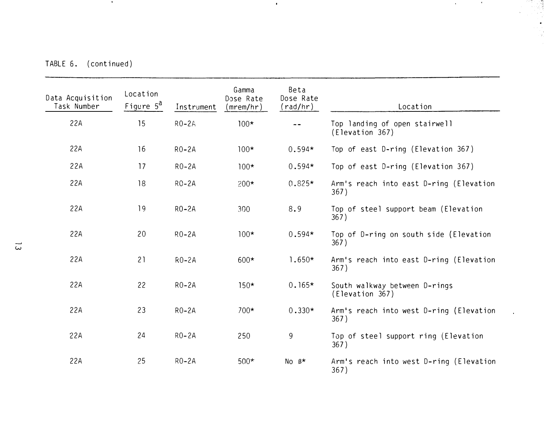TABLE 6. (continued)

 $\sim 0.1$ 

| Data Acquisition<br>Task Number | Location<br>Figure 5 <sup>a</sup> | Instrument | Gamma<br>Dose Rate<br>(mrem/hr) | Beta<br>Dose Rate<br>(rad/hr) | Location                                         |
|---------------------------------|-----------------------------------|------------|---------------------------------|-------------------------------|--------------------------------------------------|
| 22A                             | 15                                | $RO-2A$    | $100*$                          |                               | Top landing of open stairwell<br>(Elevation 367) |
| 22A                             | 16                                | $RO-2A$    | $100*$                          | $0.594*$                      | Top of east D-ring (Elevation 367)               |
| 22A                             | 17                                | $RO-2A$    | $100*$                          | $0.594*$                      | Top of east D-ring (Elevation 367)               |
| 22A                             | 18                                | $RO-2A$    | $200*$                          | $0.825*$                      | Arm's reach into east D-ring (Elevation<br>367)  |
| 22A                             | 19                                | $RO-2A$    | 300                             | 8.9                           | Top of steel support beam (Elevation<br>367)     |
| 22A                             | 20                                | $RO-2A$    | $100*$                          | $0.594*$                      | Top of D-ring on south side (Elevation<br>367)   |
| 22A                             | 21                                | $RO-2A$    | $600*$                          | $1.650*$                      | Arm's reach into east D-ring (Elevation<br>367)  |
| 22A                             | 22                                | $RO-2A$    | $150*$                          | $0.165*$                      | South walkway between D-rings<br>(Elevation 367) |
| 22A                             | 23                                | $RO-2A$    | $700*$                          | $0.330*$                      | Arm's reach into west D-ring (Elevation<br>367)  |
| 22A                             | 24                                | $RO-2A$    | 250                             | 9                             | Top of steel support ring (Elevation<br>367)     |
| 22A                             | 25                                | $RO-2A$    | $500*$                          | No $\beta^*$                  | Arm's reach into west D-ring (Elevation<br>367)  |

 $\mathcal{A}^{\pm}$ 

 $\mathcal{O}(\mathcal{A})$  and  $\mathcal{O}(\mathcal{A})$ 

 $\sim 0.1$ 

 $\ddot{\phantom{0}}$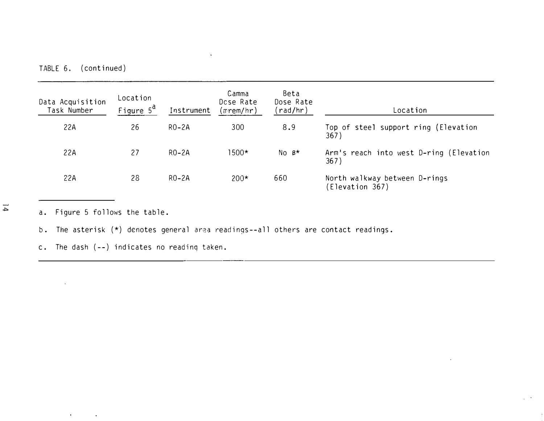TABLE 6. (continued)

| Data Acquisition<br>Task Number | Location<br>Figure 5 <sup>a</sup> | Instrument | Camma<br>Dose Rate<br>(mrem/hr) | Beta<br>Dose Rate<br>(rad/hr) | Location                                        |
|---------------------------------|-----------------------------------|------------|---------------------------------|-------------------------------|-------------------------------------------------|
| 22A                             | 26                                | $RO-2A$    | 300                             | 8.9                           | Top of steel support ring (Elevation<br>367)    |
| 22A                             | 27                                | $RO-2A$    | $1500*$                         | $No$ $B*$                     | Arm's reach into west D-ring (Elevation<br>367) |
| 22A                             | 28                                | $RO-2A$    | $200*$                          | 660                           | North walkway between D-rings<br>Elevation 367) |

 $\overline{p}$ 

a. Figure 5 follows the table.

 $\langle \mathbf{r} \rangle$ 

 $\bullet$ 

b. The asterisk (\*) denotes general area readinqs--all others are contact readings.

 $\alpha$ 

c. The dash (--) indicates no readinq taken.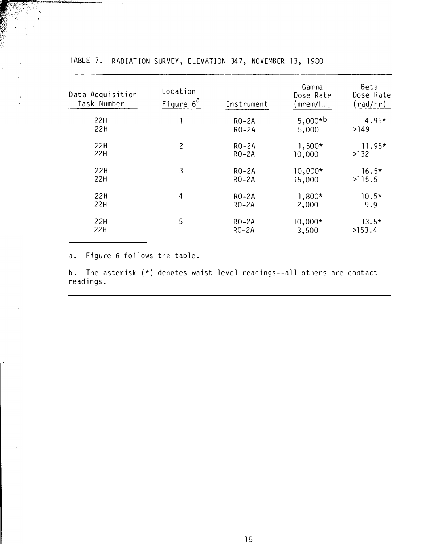| Data Acquisition<br>Task Number | Location<br>Figure $6^d$ | Instrument | Gamma<br>Dose Rate<br>(mrem/hı j | Beta<br>Dose Rate<br>(rad/hr) |
|---------------------------------|--------------------------|------------|----------------------------------|-------------------------------|
| 22H                             |                          | $RO-2A$    | $5,000*b$                        | $4.95*$                       |
| 22H                             |                          | $RO-2A$    | 5,000                            | >149                          |
| 22H                             | $\mathbf{2}$             | $RO-2A$    | $1,500*$                         | $11.95*$                      |
| 22H                             |                          | $RO-2A$    | 10,000                           | >132                          |
| 22H                             | 3                        | $RO-2A$    | $10,000*$                        | $16.5*$                       |
| 22H                             |                          | $RO-2A$    | 15,000                           | >115.5                        |
| 22H                             | 4                        | $RO-2A$    | $1,800*$                         | $10.5*$                       |
| 22H                             |                          | $RO-2A$    | 2,000                            | 9.9                           |
| 22H                             | 5                        | $RO-2A$    | $10,000*$                        | $13.5*$                       |
| 22H                             |                          | $RO-2A$    | 3,500                            | >153.4                        |

TABLE 7. RADIATION SURVEY, ELEVATION 347, NOVEMBER 13, 1980

a. Figure 6 follows the table.

 $\tilde{\gamma}$ 

 $\ddagger$ 

b. The asterisk (\*) denotes waist level readings--all others are contact readings.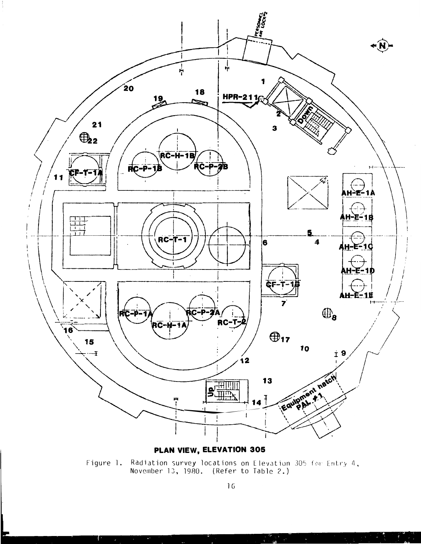

PLAN VIEW, ELEVATION 305

Radiation survey locations on Elevation 305 for Entry 4, Figure 1. November 13, 1980. (Refer to Table 2.)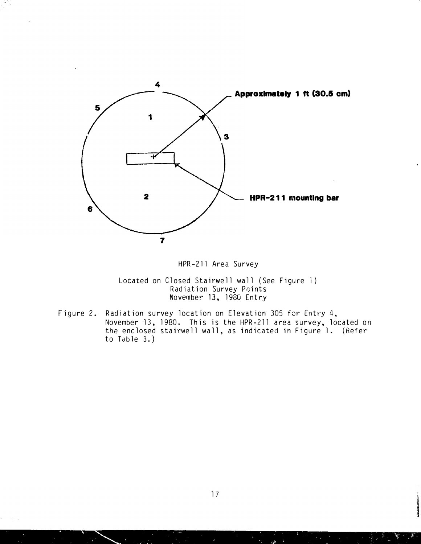

### HPR-211 Area Survey

Located on Closed Stairwell wall (See Figure i) Radiation Survey Paints November 13, 1980 Entry

Figure 2. Radiation survey location on Elevation 305 for Entry 4, November 13, 1980. This is the HPR-211 area survey, located on the enclosed stairwell wall, as indicated in Figure 1. (Refer to Table 3. )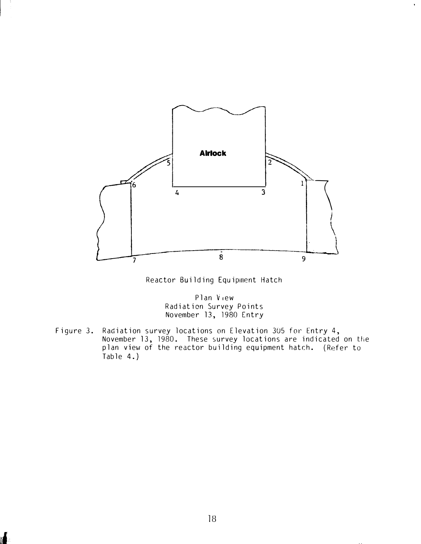

Reactor Building Equipment Hatch

Plan V<sub>iew</sub> Radiation Survey Points November 13, 1980 Entry

Figure 3. Radiation survey locations on Elevation 305 for Entry 4, November 13, 1980. These survey locations are indicated on tlie plan view of the reactor building equipment hatch. ( Refer to Table 4.)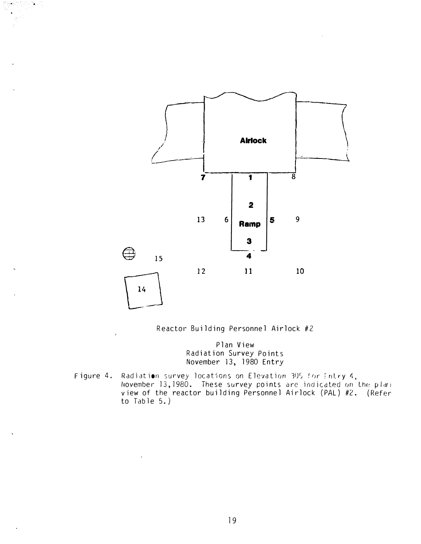

Ν,



Plan View Radiation Survey Points November 13, 1980 Entry

Figure 4. Radiation survey locations on Elevation 305 for Entry 4, November 13,1980. These survey points are indicated on the plan  $\pm$ view of the reactor building Personnel Airlock (PAL) #2. (Refer to Table  $5.$  )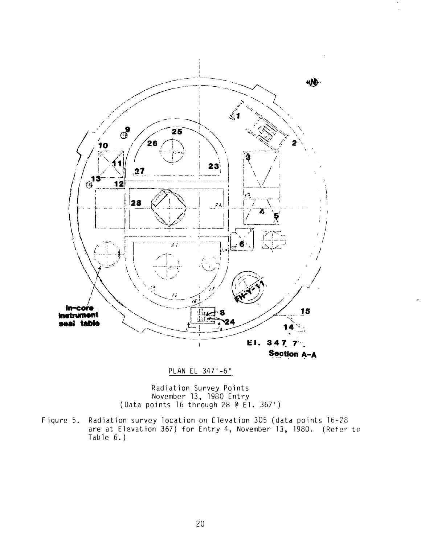

PLAN EL 347'-6"

Radiation Survey Points November 13, 1980 Entry (Data points 16 through 28@ El. 367')

Figure 5. Radiation survey location on Elevation 305 (data points 16-28 are at Elevation 367) for Entry 4, November 13, 1980. (Refer to Table 6.)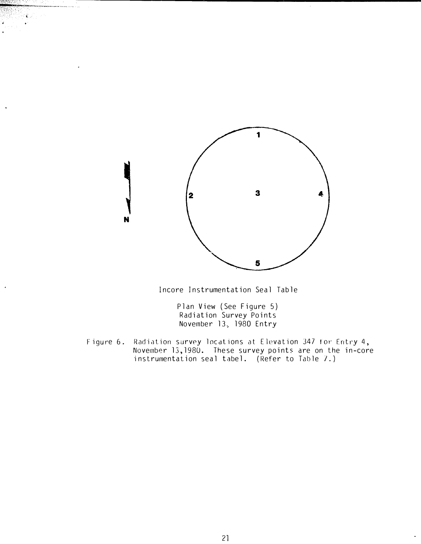

 $8.31 - 10$ 

lncore Instrumentation Seal Table

Plan View (See Figure 5) Radiation Survey Points November 13. 1980 Entry

Figure 6. Radiation survey locations at Elevation 347 for Entry 4, November 13,1980. These survey points are on the in-core instrumentation seal tabel. (Refer to Table 7.)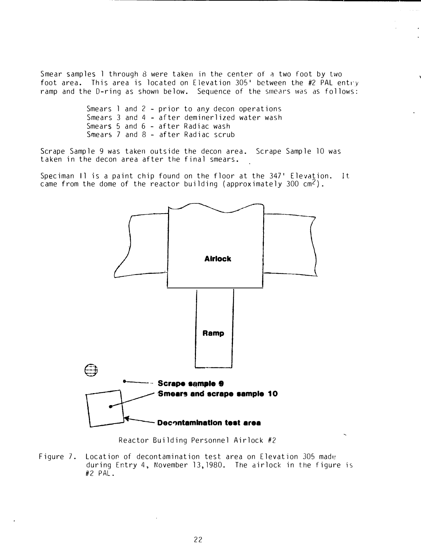Smear samples 1 through 8 were taken in the center of a two foot by two foot area. This area is located on Elevation 305' between the #2 PAL entry ramp and the D-ring as shown below. Sequence of the smears was as follows:

> Smears l and 2 - prior to any decon operations Smears 3 and 4 - after deminerlized water wash Smears 5 and 6 - after Radiac wash Smears 7 and 8 - after Radiac scrub

Scrape Sample 9 was taken outside the decon area. Scrape Sample 10 was taken in the decon area after the final smears.

Speciman Il is a paint chip found on the floor at the 347' Elevation. It came from the dome of the reactor building (approximately 300  $cm^2$ ).



Reactor Building Personnel Airlock #2

Figure 7. Locatior of decontamination test area on Elevation 305 made during Entry 4, November 13, 1980. The airlock in the figure is #2 PAL.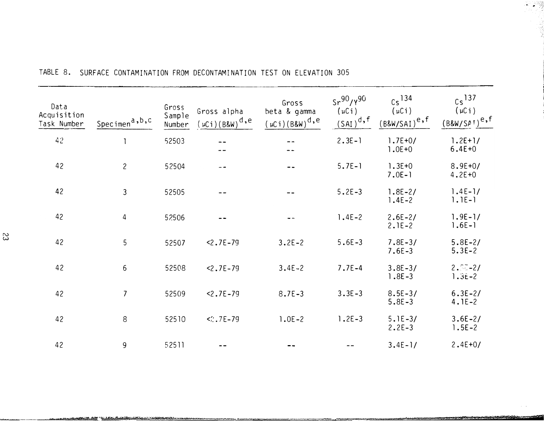| Data<br>Acquisition<br>Task Number | Specimen <sup>a,b,c</sup> | Gross<br>Sample<br>Number | Gross alpha<br>$(\mu Ci)(B\&W)^{d,e}$ | Gross<br>beta & gamma<br>$(\mu Ci)(B&W)^{d,e}$ | $Sr^{90}/Y^{90}$<br>$(\mu Ci)$<br>$(SAI)^d$ , f | $Cs$ <sup>134</sup><br>$(\mu Ci)$<br>$(B&W/SAI)^e$ , f | $Cs$ <sup>137</sup><br>$(\mu C i)$<br>$(BRW/SPT)^{e,f}$ |
|------------------------------------|---------------------------|---------------------------|---------------------------------------|------------------------------------------------|-------------------------------------------------|--------------------------------------------------------|---------------------------------------------------------|
| 42                                 |                           | 52503                     |                                       |                                                | $2.3E - 1$                                      | $1.7E + 0/$<br>$1.0E + 0$                              | $1.2E+1/$<br>$6.4E + 0$                                 |
| 42                                 | $\overline{c}$            | 52504                     | --                                    |                                                | $5.7E-1$                                        | $1.3E + 0$<br>$7.0E-1$                                 | $8.9E + 0/$<br>$4.2E + 0$                               |
| 42                                 | 3                         | 52505                     |                                       |                                                | $5.2E - 3$                                      | $1.8E - 2/$<br>$1.4E-2$                                | $1.4E-1/$<br>$1.1E-1$                                   |
| 42                                 | 4                         | 52506                     |                                       |                                                | $1.4E - 2$                                      | $2.6E-2/$<br>$2.1E-2$                                  | $1.9E - 1/$<br>$1.6E - 1$                               |
| 42                                 | 5                         | 52507                     | $< 2.7E - 79$                         | $3.2E - 2$                                     | $5.6E - 3$                                      | $7.8E - 3/$<br>$7.6E - 3$                              | $5.8E - 2/$<br>$5.3E-2$                                 |
| 42                                 | 6                         | 52508                     | $2.7E - 79$                           | $3.4E - 2$                                     | $7.7E - 4$                                      | $3.8E - 3/$<br>$1.8E - 3$                              | $2.5 - 2/$<br>$1.3E-2$                                  |
| 42                                 | $\overline{7}$            | 52509                     | $< 2.7E - 79$                         | $8.7E - 3$                                     | $3.3E - 3$                                      | $8.5E - 3/$<br>$5.8E - 3$                              | $6.3E-2/$<br>$4.1E-2$                                   |
| 42                                 | 8                         | 52510                     | $<$ : 7E-79                           | $1.0E - 2$                                     | $1.2E-3$                                        | $5.1E-3/$<br>$2.2E-3$                                  | $3.6E - 2/$<br>$1.5E - 2$                               |
| 42                                 | 9                         | 52511                     |                                       |                                                |                                                 | $3.4E - 1/$                                            | $2.4E+0/$                                               |

A CONTRACTOR CONTRACTO CON CONTRACTO A CONTRACTO DE CONSTANTE E EL CONTRACTO DE CONTRACTO EL CONTRACTO EL CONT

## TABLE 8. SURFACE CONTAMINATION FROM DECONTAMINATION TEST ON ELEVATION 305

**TACOJA**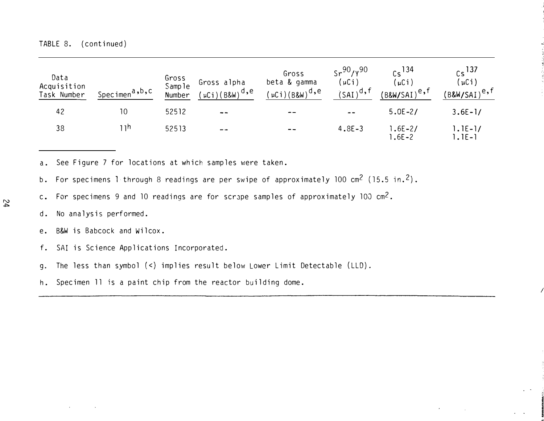| Data<br>Acquisition<br>Task Number | S <u>pecim</u> en <sup>a,b</sup> ,C | Gross<br>Sample<br>Number | Gross alpha<br>$'$ µCi)(B&W) <sup>d,e</sup> | Gross<br>beta & gamma<br>$'$ µCi)(B&W) $^{\sf d}$ ,e | $5r^{90}$ /y <sup>90</sup><br>(µCi)<br>$(SAI)^d$ , f | $ce$ 134<br>′μCi)<br>'B&W/SAI) <sup>e,f</sup> | $cs$ 137<br>$\mu$ Ci)<br>$(B8W/SAI)^{e,f}$ |
|------------------------------------|-------------------------------------|---------------------------|---------------------------------------------|------------------------------------------------------|------------------------------------------------------|-----------------------------------------------|--------------------------------------------|
| 42                                 | 10                                  | 52512                     | $- -$                                       | $-$                                                  | $- -$                                                | $5.0E - 2/$                                   | $3.6E - 1/$                                |
| 38                                 | ∣ 1h                                | 52513                     | $- -$                                       | $- -$                                                | $4.8E - 3$                                           | $.6E - 2/$<br>$.6E - 2$                       | $1.1E-1/$<br>$ . E- $                      |

a. See Figure 7 for locations at which samples were taken.

b. For specimens 1 through 8 readings are per swipe of approximately 100 cm<sup>2</sup> (15.5 in.<sup>2</sup>).

c. For specimens 9 and 10 readings are for scrape samples of approximately 100  $cm^2$ .

- d. No ana lysis performed.
- e. B&W is Babcock and Wilcox.
- f. SAI is Science Applications Incorporated.
- g. The less than symbol (<) implies result below Lower Limit Detectable (LLD).
- h. Specimen ll is a paint chip from the reactor building dome.

 $\prime$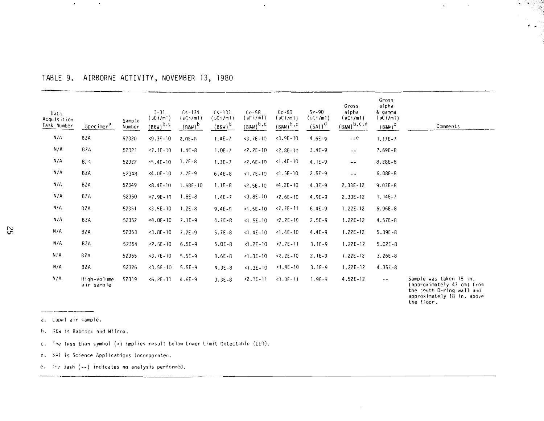## TABLE 9. AIRBORNE ACTIVITY, NOVEMBER 13, 1980

| Data<br>Acquisition<br>Task Number | Specimen <sup>a</sup>     | Sample<br>Number | $1 - 31$<br>$(\mu$ Ci/ml)<br>$(B\&W)^{b,c}$ | $Cs - 134$<br>(uC)/m1)<br>$(B\&W)^{b}$ | $Cs - 137$<br>$(\mu$ Ci/ml)<br>$(BBM)^b$ | $Co-58$<br>$(\mu$ $(i/m)$<br>$(BRW)^{b.C}$ | $Co-60$<br>$(uC)/m$ $)$<br>$(BRW)^{b,c}$ | $Sr-90$<br>$(\nu \text{C} i / \text{m} )$<br>$(SAI)^d$ | Gross<br>alpha<br>$(\mu$ Ci/ml)<br>$(BgW)^{b,c,d}$ | Gross<br>alpha<br>& gamma<br>$(\mu$ Ci/ml $)$<br>$(BBW)^C$ | Comments                                              |
|------------------------------------|---------------------------|------------------|---------------------------------------------|----------------------------------------|------------------------------------------|--------------------------------------------|------------------------------------------|--------------------------------------------------------|----------------------------------------------------|------------------------------------------------------------|-------------------------------------------------------|
| N/A                                | BZA                       | 52320            | $<9.3E-10$                                  | $2.05 - R$                             | $1.4E - 7$                               | $<3.7E-10$                                 | $<$ 3.9E - 10                            | $4.6E - 9$                                             | $ e$                                               | $1.17E - 7$                                                |                                                       |
| $N/\Lambda$                        | <b>BZA</b>                | 52321            | $57.15 - 10$                                | $1.4F - 8$                             | $1.0E - 7$                               | $2.2E - 10$                                | $-2.8E - 10$                             | $3.4E-9$                                               | $ -$                                               | $7.69E - 8$                                                |                                                       |
| N/A                                | B, A                      | 52322            | $5.4E - 10$                                 | $1.7F - 8$                             | $1.3E - 7$                               | $2.5E - 10$                                | $1.4E - 10$                              | $4.1E-9$                                               | --                                                 | $8.28E - 8$                                                |                                                       |
| N/A                                | BZA                       | 52348            | $< 4.0E - 10$                               | $7.7E-9$                               | $6.4E - 8$                               | $1.7E-10$                                  | $< 1.5E - 10$                            | $2.5E-9$                                               | $ \sim$                                            | $6.08E - 8$                                                |                                                       |
| N/A                                | BZA                       | 52349            | $<8.4E-10$                                  | $1.68E - 10$                           | $1.1E-8$                                 | $2.5E - 10$                                | $< 4.2E - 10$                            | $4.3E-9$                                               | $2.33E - 12$                                       | $9.03E - 8$                                                |                                                       |
| N/A                                | BZA                       | 52350            | $< 7.9E - 10$                               | $1.8E - 8$                             | $1.4E - 7$                               | $3.8E - 10$                                | $2.6E - 10$                              | $4.9E - 9$                                             | $2.33E - 12$                                       | $1.14E - 7$                                                |                                                       |
| N/A                                | BZA                       | 52351            | $3.5E - 10$                                 | $1.2E - 8$                             | $9.4E - R$                               | $<$ 1.5E - 10                              | $2.7E-11$                                | $6.4E - 9$                                             | $1.22E - 12$                                       | $6.96E - 8$                                                |                                                       |
| N/A                                | BZA                       | 52352            | $4.0E - 10$                                 | $7.1E-9$                               | $4.7E - R$                               | $< 1.5E - 10$                              | $2.2E - 10$                              | $2.5E-9$                                               | $1.22E - 12$                                       | $4.57E - 8$                                                |                                                       |
| N/A                                | 8ZA                       | 52353            | $3.8E - 10$                                 | $7.2E-9$                               | $5.7E-8$                                 | $1.4E-10$                                  | $< 1.4E - 10$                            | $4.4E-9$                                               | $1.22E - 12$                                       | $5.39E - 8$                                                |                                                       |
| N/A                                | BZA                       | 52354            | $2.6E - 10$                                 | $6.5E - 9$                             | $5.0E - 8$                               | $1.2E - 10$                                | $< 7.7E - 11$                            | $3.1E-9$                                               | $1.22E - 12$                                       | $5.02E - 8$                                                |                                                       |
| N/A                                | BZA                       | 52355            | $3.7E - 10$                                 | $5.5E-9$                               | $3.6E - 8$                               | $1.3E-10$                                  | $22.2E - 10$                             | $2.1E-9$                                               | $1.22E - 12$                                       | $3.26E - 8$                                                |                                                       |
| N/A                                | BZA                       | 52326            | $3.5E - 10$                                 | $5.5E-9$                               | $4.3E - 8$                               | $< 1.3E - 10$                              | $1.4E-10$                                | $3.1E-9$                                               | $1.22E - 12$                                       | $4.35E - 8$                                                |                                                       |
| N/A                                | High-volume<br>air sample | 52319            | $56.2E - 11$                                | $4.6E-9$                               | $3.3E - 8$                               | $2.1E-11$                                  | $< 1.0E - 11$                            | $1.95 - 9$                                             | $4.52E - 12$                                       | $- -$                                                      | Sample was taken 18 in.<br>(approximately 47 cm) from |

 $\mathbf{r}$ 

(approximately 47 cm) from<br>the south D-ring wall and<br>approximately 18 in. above the floor.

 $\lambda$ 

 $\mathbf{v}$ 

 $\sim$ 

r ing pa

\_ \_ \_ \_ \_ \_ \_ \_ \_ \_ \_ a. Lapel air sample.

 $\alpha$  .

 $\mathbf{A}^{\prime}$ 

- b. R&W is Babcock and Wilcox.
- c. The less than symbol (<) implies result below Lower Limit Detectable (LLD).
- d. \$4! is Science Applications Incorporated.

e. The dash (--) indicates no analysis performed.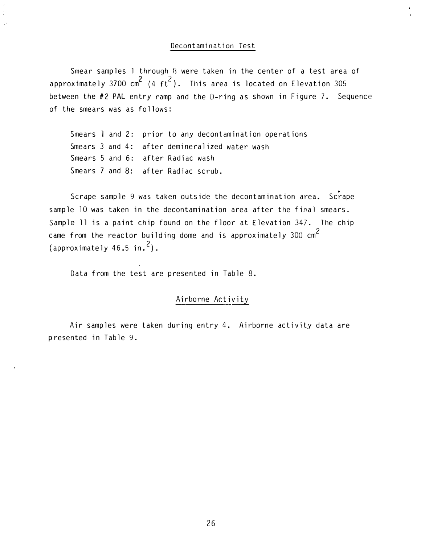#### Decontamination Test

Smear samples 1 through B were taken in the center of a test area of approximately 3700  $\text{cm}^2$  (4  $\text{ft}^2$ ). This area is located on Elevation 305 between the #2 PAL entry ramp and the D-ring as shown in Figure 7. Sequence of the smears was as follows:

Smears  $l$  and 2: prior to any decontamination operations Smears 3 and 4: after demineralized water wash Smears 5 and 6: after Radiac wash Smears 7 and 8: after Radiac scrub.

• Scrape sample 9 was taken outside the decontamination area. Scrape sample 10 was taken in the decontamination area after the final smears. Sample 11 is a paint chip found on the floor at Elevation 347. The chip came from the reactor building dome and is approximately  $300 \text{ cm}^2$ (approximately 46.5 in. $^2$ ).

Data from the test are presented in Table 8.

## Airborne Activity

Air samples were taken during entry 4. Airborne activity data are p resented in Table 9.